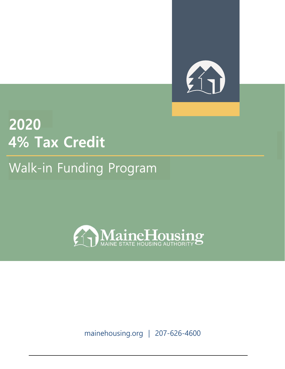

# 2020 **4% Tax Credit**

# Walk-in Funding Program



mainehousing.org | 207-626-4600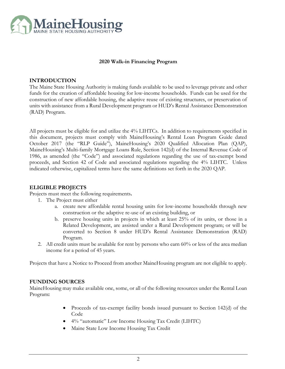

#### **2020 Walk-in Financing Program**

#### **INTRODUCTION**

The Maine State Housing Authority is making funds available to be used to leverage private and other funds for the creation of affordable housing for low-income households. Funds can be used for the construction of new affordable housing, the adaptive reuse of existing structures, or preservation of units with assistance from a Rural Development program or HUD's Rental Assistance Demonstration (RAD) Program.

All projects must be eligible for and utilize the 4% LIHTCs. In addition to requirements specified in this document, projects must comply with MaineHousing's Rental Loan Program Guide dated October 2017 (the "RLP Guide"), MaineHousing's 2020 Qualified Allocation Plan (QAP), MaineHousing's Multi-family Mortgage Loans Rule, Section 142(d) of the Internal Revenue Code of 1986, as amended (the "Code") and associated regulations regarding the use of tax-exempt bond proceeds, and Section 42 of Code and associated regulations regarding the 4% LIHTC. Unless indicated otherwise, capitalized terms have the same definitions set forth in the 2020 QAP.

#### **ELIGIBLE PROJECTS**

Projects must meet the following requirements**.** 

- 1. The Project must either
	- a. create new affordable rental housing units for low-income households through new construction or the adaptive re-use of an existing building, or
	- b. preserve housing units in projects in which at least 25% of its units, or those in a Related Development, are assisted under a Rural Development program; or will be converted to Section 8 under HUD's Rental Assistance Demonstration (RAD) Program.
- 2. All credit units must be available for rent by persons who earn 60% or less of the area median income for a period of 45 years.

Projects that have a Notice to Proceed from another MaineHousing program are not eligible to apply.

#### **FUNDING SOURCES**

MaineHousing may make available one, some, or all of the following resources under the Rental Loan Program**:** 

- Proceeds of tax-exempt facility bonds issued pursuant to Section 142(d) of the Code
- 4% "automatic" Low Income Housing Tax Credit (LIHTC)
- Maine State Low Income Housing Tax Credit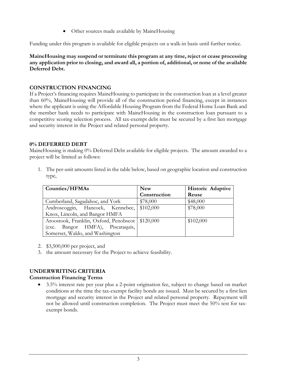Other sources made available by MaineHousing

Funding under this program is available for eligible projects on a walk-in basis until further notice.

**MaineHousing may suspend or terminate this program at any time, reject or cease processing any application prior to closing, and award all, a portion of, additional, or none of the available Deferred Debt.** 

## **CONSTRUCTION FINANCING**

If a Project's financing requires MaineHousing to participate in the construction loan at a level greater than 60%, MaineHousing will provide all of the construction period financing, except in instances where the applicant is using the Affordable Housing Program from the Federal Home Loan Bank and the member bank needs to participate with MaineHousing in the construction loan pursuant to a competitive scoring selection process. All tax-exempt debt must be secured by a first lien mortgage and security interest in the Project and related personal property.

#### **0% DEFERRED DEBT**

MaineHousing is making 0% Deferred Debt available for eligible projects. The amount awarded to a project will be limited as follows:

1. The per-unit amounts listed in the table below, based on geographic location and construction type,

| <b>Counties/HFMAs</b>                              | <b>New</b>   | <b>Historic Adaptive</b> |
|----------------------------------------------------|--------------|--------------------------|
|                                                    | Construction | Reuse                    |
| Cumberland, Sagadahoc, and York                    | \$78,000     | \$48,000                 |
| Androscoggin, Hancock, Kennebec,                   | \$102,000    | \$78,000                 |
| Knox, Lincoln, and Bangor HMFA                     |              |                          |
| Aroostook, Franklin, Oxford, Penobscot   \$120,000 |              | \$102,000                |
| (exc. Bangor HMFA), Piscataquis,                   |              |                          |
| Somerset, Waldo, and Washington                    |              |                          |

- 2. \$3,500,000 per project, and
- 3. the amount necessary for the Project to achieve feasibility.

# **UNDERWRITING CRITERIA**

# **Construction Financing Terms**

• 3.5% interest rate per year plus a 2-point origination fee, subject to change based on market conditions at the time the tax-exempt facility bonds are issued. Must be secured by a first lien mortgage and security interest in the Project and related personal property. Repayment will not be allowed until construction completion. The Project must meet the 50% test for taxexempt bonds.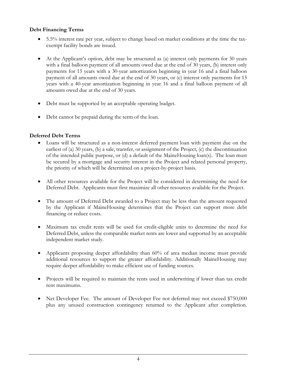# **Debt Financing Terms**

- 5.5% interest rate per year, subject to change based on market conditions at the time the taxexempt facility bonds are issued.
- At the Applicant's option, debt may be structured as (a) interest only payments for 30 years with a final balloon payment of all amounts owed due at the end of 30 years, (b) interest only payments for 15 years with a 30-year amortization beginning in year 16 and a final balloon payment of all amounts owed due at the end of 30 years, or (c) interest only payments for 15 years with a 40-year amortization beginning in year 16 and a final balloon payment of all amounts owed due at the end of 30 years.
- Debt must be supported by an acceptable operating budget.
- Debt cannot be prepaid during the term of the loan.

# **Deferred Debt Terms**

- Loans will be structured as a non-interest deferred payment loan with payment due on the earliest of (a) 30 years, (b) a sale, transfer, or assignment of the Project, (c) the discontinuation of the intended public purpose, or (d) a default of the MaineHousing loan(s). The loan must be secured by a mortgage and security interest in the Project and related personal property, the priority of which will be determined on a project-by-project basis.
- All other resources available for the Project will be considered in determining the need for Deferred Debt. Applicants must first maximize all other resources available for the Project.
- The amount of Deferred Debt awarded to a Project may be less than the amount requested by the Applicant if MaineHousing determines that the Project can support more debt financing or reduce costs.
- Maximum tax credit rents will be used for credit-eligible units to determine the need for Deferred Debt, unless the comparable market rents are lower and supported by an acceptable independent market study.
- Applicants proposing deeper affordability than 60% of area median income must provide additional resources to support the greater affordability. Additionally MaineHousing may require deeper affordability to make efficient use of funding sources.
- Projects will be required to maintain the rents used in underwriting if lower than tax credit rent maximums.
- Net Developer Fee. The amount of Developer Fee not deferred may not exceed \$750,000 plus any unused construction contingency returned to the Applicant after completion.